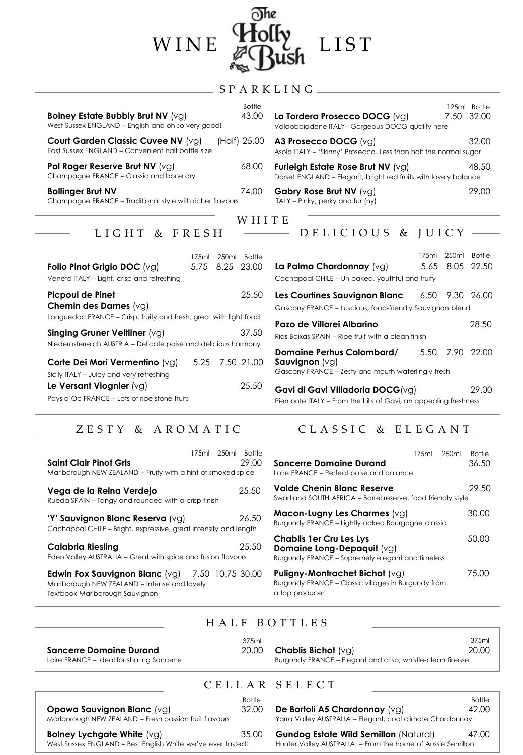| WINE                                                                                                                                                                           | LIST                                                                                                                                 |
|--------------------------------------------------------------------------------------------------------------------------------------------------------------------------------|--------------------------------------------------------------------------------------------------------------------------------------|
| SPARKLING                                                                                                                                                                      |                                                                                                                                      |
| <b>Bottle</b><br>43.00<br>Bolney Estate Bubbly Brut NV (vg)<br>West Sussex ENGLAND - English and oh so very good!                                                              | 125ml Bottle<br>7.50<br>32.00<br>La Tordera Prosecco DOCG (vg)<br>Valdobbiadene ITALY- Gorgeous DOCG quality here                    |
| (Half) 25.00<br>Court Garden Classic Cuvee NV (vg)<br>East Sussex ENGLAND - Convenient half bottle size                                                                        | 32.00<br>A3 Prosecco DOCG (vg)<br>Asolo ITALY - 'Skinny' Prosecco. Less than half the normal sugar                                   |
| Pol Roger Reserve Brut NV (vg)<br>68.00<br>Champagne FRANCE - Classic and bone dry                                                                                             | 48.50<br>Furleigh Estate Rose Brut NV (vg)<br>Dorset ENGLAND - Elegant, bright red fruits with lovely balance                        |
| 74.00<br><b>Bollinger Brut NV</b><br>Champagne FRANCE - Traditional style with richer flavours                                                                                 | 29.00<br><b>Gabry Rose Brut NV (vg)</b><br>ITALY – Pinky, perky and fun(ny)                                                          |
| WHITE                                                                                                                                                                          |                                                                                                                                      |
| LIGHT<br>$&$ FRESH                                                                                                                                                             | DELICIOUS & JUICY                                                                                                                    |
| 175ml<br>250ml Bottle<br>5.75 8.25 23.00<br>Folio Pinot Grigio DOC (vg)<br>Veneto ITALY - Light, crisp and refreshing                                                          | 250ml<br>175ml<br><b>Bottle</b><br>5.65<br>8.05 22.50<br>La Palma Chardonnay (vg)<br>Cachapoal CHILE - Un-oaked, youthful and fruity |
| <b>Picpoul de Pinet</b><br>25.50<br>Chemin des Dames (vg)                                                                                                                      | Les Courtines Sauvignon Blanc<br>9.30 26.00<br>6.50<br>Gascony FRANCE - Luscious, food-friendly Sauvignon blend                      |
| Languedoc FRANCE - Crisp, fruity and fresh, great with light food<br>Singing Gruner Veltliner (VG)<br>37.50<br>Niederosterreich AUSTRIA - Delicate poise and delicious harmony | Pazo de Villarei Albarino<br>28.50<br>Rias Baixas SPAIN - Ripe fruit with a clean finish                                             |

The

| Corte Dei Mori Vermentino (vg)               | 5.25 7.50 21.00 |
|----------------------------------------------|-----------------|
| Sicily ITALY - Juicy and very refreshing     |                 |
| Le Versant Viognier $(vq)$                   | 25.50           |
| Pays d'Oc FRANCE – Lots of ripe stone fruits |                 |

| סווועט ווו |                                                                                                     |      |                 |  |
|------------|-----------------------------------------------------------------------------------------------------|------|-----------------|--|
| 5 23.00    | La Palma Chardonnay (vg)                                                                            |      | 5.65 8.05 22.50 |  |
|            | Cachapoal CHILE - Un-oaked, youthful and fruity                                                     |      |                 |  |
| 25.50      | Les Courtines Sauvignon Blanc                                                                       |      | 6.50 9.30 26.00 |  |
|            | Gascony FRANCE - Luscious, food-friendly Sauvignon blend                                            |      |                 |  |
| light food | Pazo de Villarei Albarino                                                                           |      | 28.50           |  |
| 37.50      | Rias Baixas SPAIN - Ripe fruit with a clean finish                                                  |      |                 |  |
| sharmony   | Domaine Perhus Colombard/                                                                           | 5.50 | 7.90 22.00      |  |
| 50 21.00   | <b>Sauvignon</b> $(vq)$<br>Gascony FRANCE - Zesty and mouth-waterlingly fresh                       |      |                 |  |
| 25.50      | Gavi di Gavi Villadoria DOCG(vg)<br>Piemonte ITALY – From the hills of Gavi, an appealing freshness |      | 29.00           |  |

# ZESTY & AROMATIC  $\longrightarrow$  CLASSIC & ELEGANT-

| <b>Saint Clair Pinot Gris</b><br>Marlborough NEW ZEALAND - Fruity with a hint of smoked spice             | 175ml | 250ml | <b>Bottle</b><br>29.00 | S<br>Lo      |
|-----------------------------------------------------------------------------------------------------------|-------|-------|------------------------|--------------|
| Vega de la Reina Verdejo<br>Rueda SPAIN - Tangy and rounded with a crisp finish                           |       |       | 25.50                  | ٧<br>S١      |
| 'Y' Sauvignon Blanc Reserva (vg)<br>Cachapoal CHILE - Bright, expressive, great intensity and length      |       |       | 26.50                  | N<br>Bι      |
| Calabria Riesling<br>Eden Valley AUSTRALIA - Great with spice and fusion flavours                         |       |       | 25.50                  | c<br>D<br>Bι |
| <b>Edwin Fox Sauvignon Blanc</b> (vg) $7.50$ 10.75 30.00<br>Marlborough NEW ZEALAND - Intense and lovely. |       |       |                        | P<br>Bι      |

Textbook Marlborough Sauvignon

| <b>Sancerre Domaine Durand</b><br>Loire FRANCE - Perfect poise and balance                                       | 17.5ml | 250ml | <b>Bottle</b><br>36.50 |
|------------------------------------------------------------------------------------------------------------------|--------|-------|------------------------|
| Valde Chenin Blanc Reserve<br>Swartland SOUTH AFRICA – Barrel reserve, food friendly style                       |        |       | 29.50                  |
| Macon-Lugny Les Charmes $(vg)$<br>Burgundy FRANCE - Lightly oaked Bourgogne classic                              |        |       | 30.00                  |
| <b>Chablis 1er Cru Les Lys</b><br>Domaine Long-Depaquit (vg)<br>Burgundy FRANCE – Supremely elegant and timeless |        |       | 50.00                  |
| <b>Puligny-Montrachet Bichot</b> (vg)<br>Burgundy FRANCE - Classic villages in Burgundy from<br>a top producer   |        |       | 75.00                  |

### H A L F B O T T L E S

| <b>Chablis Bichot</b> (vg)<br>20.00<br><b>Sancerre Domaine Durand</b><br>Burgundy FRANCE – Elegant and crisp, whistle-clean finesse<br>Loire FRANCE – Ideal for sharing Sancerre |  | 375ml |  | 375ml<br>20.00 |
|----------------------------------------------------------------------------------------------------------------------------------------------------------------------------------|--|-------|--|----------------|
|----------------------------------------------------------------------------------------------------------------------------------------------------------------------------------|--|-------|--|----------------|

# C E L L A R S E L E C T

 Bottle **Opawa Sauvignon Blanc** (vg) 32.00 Marlborough NEW ZEALAND – Fresh passion fruit flavours **Bolney Lychgate White** (vg)35.00 West Sussex ENGLAND – Best English White we've ever tasted!

**De Bortoli A5 Chardonnay** (vg)42.00 Yarra Valley AUSTRALIA – Elegant, cool climate Chardonnay

Bottle

**e** (vg) 35.00 **Gundog Estate Wild Semillon** (Natural) 47.00

Hunter Valley AUSTRALIA – From the home of Aussie Semillon